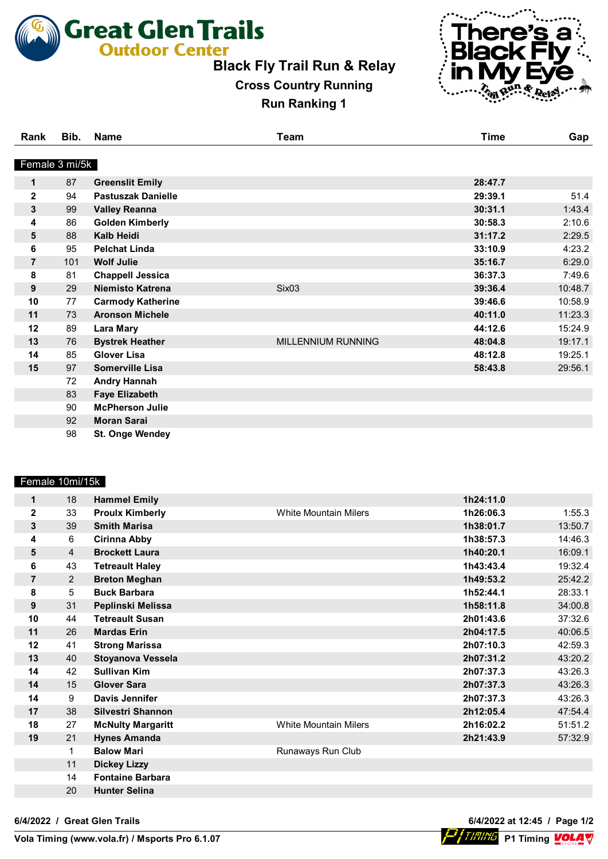**Great Glen Trails** 

## **Black Fly Trail Run & Relay**

## **Cross Country Running Run Ranking 1**



**Vola** P1 Timing VOLA V

| Rank           | Bib. | Name                     | Team               | <b>Time</b> | Gap     |
|----------------|------|--------------------------|--------------------|-------------|---------|
| Female 3 mi/5k |      |                          |                    |             |         |
| 1              | 87   | <b>Greenslit Emily</b>   |                    | 28:47.7     |         |
| $\mathbf 2$    | 94   | Pastuszak Danielle       |                    | 29:39.1     | 51.4    |
| 3              | 99   | <b>Valley Reanna</b>     |                    | 30:31.1     | 1:43.4  |
| 4              | 86   | <b>Golden Kimberly</b>   |                    | 30:58.3     | 2:10.6  |
| 5              | 88   | <b>Kalb Heidi</b>        |                    | 31:17.2     | 2:29.5  |
| 6              | 95   | <b>Pelchat Linda</b>     |                    | 33:10.9     | 4:23.2  |
| 7              | 101  | <b>Wolf Julie</b>        |                    | 35:16.7     | 6:29.0  |
| 8              | 81   | <b>Chappell Jessica</b>  |                    | 36:37.3     | 7:49.6  |
| 9              | 29   | <b>Niemisto Katrena</b>  | Six <sub>03</sub>  | 39:36.4     | 10:48.7 |
| 10             | 77   | <b>Carmody Katherine</b> |                    | 39:46.6     | 10:58.9 |
| 11             | 73   | <b>Aronson Michele</b>   |                    | 40:11.0     | 11:23.3 |
| 12             | 89   | <b>Lara Mary</b>         |                    | 44:12.6     | 15:24.9 |
| 13             | 76   | <b>Bystrek Heather</b>   | MILLENNIUM RUNNING | 48:04.8     | 19:17.1 |
| 14             | 85   | <b>Glover Lisa</b>       |                    | 48:12.8     | 19:25.1 |
| 15             | 97   | <b>Somerville Lisa</b>   |                    | 58:43.8     | 29:56.1 |
|                | 72   | <b>Andry Hannah</b>      |                    |             |         |
|                | 83   | <b>Faye Elizabeth</b>    |                    |             |         |
|                | 90   | <b>McPherson Julie</b>   |                    |             |         |
|                | 92   | <b>Moran Sarai</b>       |                    |             |         |
|                | 98   | St. Onge Wendey          |                    |             |         |

### Female 10mi/15k

| 1              | 18 | <b>Hammel Emily</b>      |                              | 1h24:11.0 |         |
|----------------|----|--------------------------|------------------------------|-----------|---------|
| $\mathbf{2}$   | 33 | <b>Proulx Kimberly</b>   | <b>White Mountain Milers</b> | 1h26:06.3 | 1:55.3  |
| $\mathbf{3}$   | 39 | <b>Smith Marisa</b>      |                              | 1h38:01.7 | 13:50.7 |
| 4              | 6  | <b>Cirinna Abby</b>      |                              | 1h38:57.3 | 14:46.3 |
| 5              | 4  | <b>Brockett Laura</b>    |                              | 1h40:20.1 | 16:09.1 |
| 6              | 43 | <b>Tetreault Haley</b>   |                              | 1h43:43.4 | 19:32.4 |
| $\overline{7}$ | 2  | <b>Breton Meghan</b>     |                              | 1h49:53.2 | 25:42.2 |
| 8              | 5  | <b>Buck Barbara</b>      |                              | 1h52:44.1 | 28:33.1 |
| 9              | 31 | Peplinski Melissa        |                              | 1h58:11.8 | 34:00.8 |
| 10             | 44 | <b>Tetreault Susan</b>   |                              | 2h01:43.6 | 37:32.6 |
| 11             | 26 | <b>Mardas Erin</b>       |                              | 2h04:17.5 | 40:06.5 |
| 12             | 41 | <b>Strong Marissa</b>    |                              | 2h07:10.3 | 42:59.3 |
| 13             | 40 | <b>Stoyanova Vessela</b> |                              | 2h07:31.2 | 43:20.2 |
| 14             | 42 | <b>Sullivan Kim</b>      |                              | 2h07:37.3 | 43:26.3 |
| 14             | 15 | <b>Glover Sara</b>       |                              | 2h07:37.3 | 43:26.3 |
| 14             | 9  | <b>Davis Jennifer</b>    |                              | 2h07:37.3 | 43:26.3 |
| 17             | 38 | Silvestri Shannon        |                              | 2h12:05.4 | 47:54.4 |
| 18             | 27 | <b>McNulty Margaritt</b> | White Mountain Milers        | 2h16:02.2 | 51:51.2 |
| 19             | 21 | <b>Hynes Amanda</b>      |                              | 2h21:43.9 | 57:32.9 |
|                | 1  | <b>Balow Mari</b>        | Runaways Run Club            |           |         |
|                | 11 | <b>Dickey Lizzy</b>      |                              |           |         |
|                | 14 | <b>Fontaine Barbara</b>  |                              |           |         |
|                | 20 | <b>Hunter Selina</b>     |                              |           |         |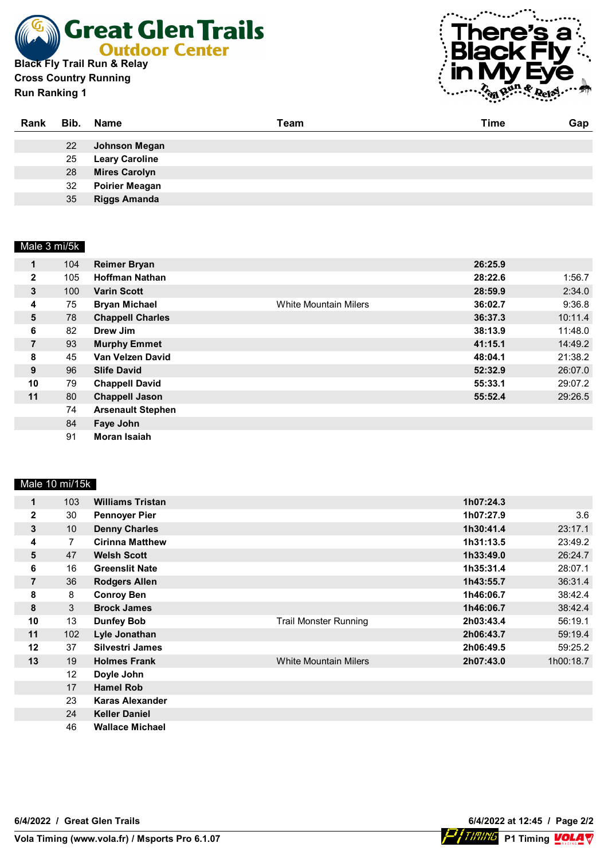

**Cross Country Running Run Ranking 1**



**Volay**<br>Particle P1 Timing Volay

| Rank |    | Bib. Name             | Team | Time | Gap |
|------|----|-----------------------|------|------|-----|
|      |    |                       |      |      |     |
|      | 22 | Johnson Megan         |      |      |     |
|      | 25 | <b>Leary Caroline</b> |      |      |     |
|      | 28 | <b>Mires Carolyn</b>  |      |      |     |
|      | 32 | <b>Poirier Meagan</b> |      |      |     |
|      | 35 | <b>Riggs Amanda</b>   |      |      |     |

### Male 3 mi/5k

| 1              | 104 | <b>Reimer Bryan</b>      |                              | 26:25.9 |         |
|----------------|-----|--------------------------|------------------------------|---------|---------|
| $\mathbf{2}$   | 105 | <b>Hoffman Nathan</b>    |                              | 28:22.6 | 1:56.7  |
|                |     |                          |                              |         |         |
| 3              | 100 | <b>Varin Scott</b>       |                              | 28:59.9 | 2:34.0  |
| 4              | 75  | <b>Bryan Michael</b>     | <b>White Mountain Milers</b> | 36:02.7 | 9:36.8  |
| 5              | 78  | <b>Chappell Charles</b>  |                              | 36:37.3 | 10:11.4 |
| 6              | 82  | Drew Jim                 |                              | 38:13.9 | 11:48.0 |
| $\overline{7}$ | 93  | <b>Murphy Emmet</b>      |                              | 41:15.1 | 14:49.2 |
| 8              | 45  | Van Velzen David         |                              | 48:04.1 | 21:38.2 |
| 9              | 96  | <b>Slife David</b>       |                              | 52:32.9 | 26:07.0 |
| 10             | 79  | <b>Chappell David</b>    |                              | 55:33.1 | 29:07.2 |
| 11             | 80  | <b>Chappell Jason</b>    |                              | 55:52.4 | 29:26.5 |
|                | 74  | <b>Arsenault Stephen</b> |                              |         |         |
|                | 84  | Faye John                |                              |         |         |
|                | 91  | <b>Moran Isaiah</b>      |                              |         |         |

#### Male 10 mi/15k

| 1              | 103 | <b>Williams Tristan</b> |                              | 1h07:24.3 |           |
|----------------|-----|-------------------------|------------------------------|-----------|-----------|
| $\mathbf{2}$   | 30  | <b>Pennoyer Pier</b>    |                              | 1h07:27.9 | 3.6       |
| 3              | 10  | <b>Denny Charles</b>    |                              | 1h30:41.4 | 23:17.1   |
| 4              | 7   | <b>Cirinna Matthew</b>  |                              | 1h31:13.5 | 23:49.2   |
| 5              | 47  | <b>Welsh Scott</b>      |                              | 1h33:49.0 | 26:24.7   |
| 6              | 16  | <b>Greenslit Nate</b>   |                              | 1h35:31.4 | 28:07.1   |
| $\overline{7}$ | 36  | <b>Rodgers Allen</b>    |                              | 1h43:55.7 | 36:31.4   |
| 8              | 8   | <b>Conroy Ben</b>       |                              | 1h46:06.7 | 38:42.4   |
| 8              | 3   | <b>Brock James</b>      |                              | 1h46:06.7 | 38:42.4   |
| 10             | 13  | <b>Dunfey Bob</b>       | <b>Trail Monster Running</b> | 2h03:43.4 | 56:19.1   |
| 11             | 102 | Lyle Jonathan           |                              | 2h06:43.7 | 59:19.4   |
| 12             | 37  | <b>Silvestri James</b>  |                              | 2h06:49.5 | 59:25.2   |
| 13             | 19  | <b>Holmes Frank</b>     | <b>White Mountain Milers</b> | 2h07:43.0 | 1h00:18.7 |
|                | 12  | Doyle John              |                              |           |           |
|                | 17  | <b>Hamel Rob</b>        |                              |           |           |
|                | 23  | <b>Karas Alexander</b>  |                              |           |           |
|                | 24  | <b>Keller Daniel</b>    |                              |           |           |
|                | 46  | <b>Wallace Michael</b>  |                              |           |           |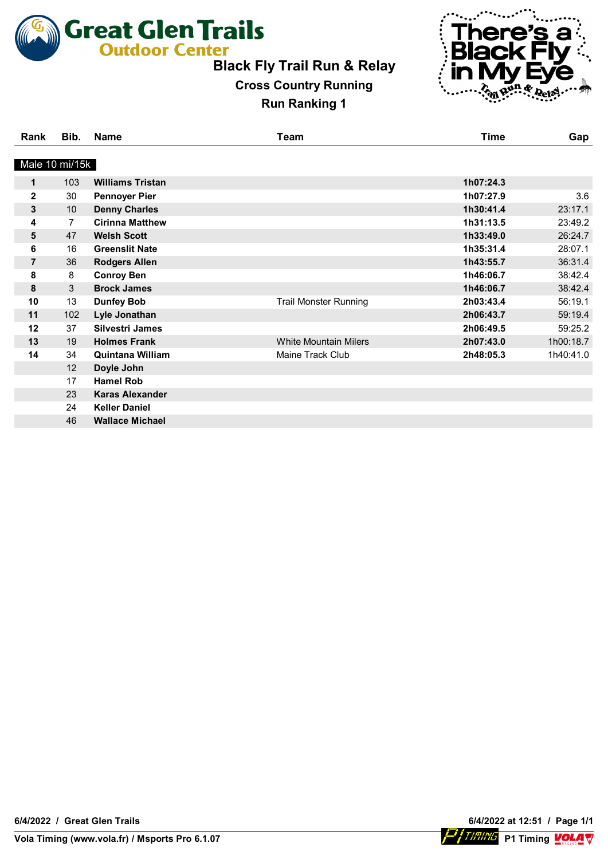

**Cross Country Running Run Ranking 1**



| Rank           | Bib. | <b>Name</b>             | Team                         | <b>Time</b> | Gap       |
|----------------|------|-------------------------|------------------------------|-------------|-----------|
| Male 10 mi/15k |      |                         |                              |             |           |
| 1              | 103  | <b>Williams Tristan</b> |                              | 1h07:24.3   |           |
| $\overline{2}$ | 30   | <b>Pennoyer Pier</b>    |                              | 1h07:27.9   | 3.6       |
| 3              | 10   | <b>Denny Charles</b>    |                              | 1h30:41.4   | 23:17.1   |
| 4              | 7    | <b>Cirinna Matthew</b>  |                              | 1h31:13.5   | 23:49.2   |
| 5              | 47   | <b>Welsh Scott</b>      |                              | 1h33:49.0   | 26:24.7   |
| 6              | 16   | <b>Greenslit Nate</b>   |                              | 1h35:31.4   | 28:07.1   |
| $\overline{7}$ | 36   | <b>Rodgers Allen</b>    |                              | 1h43:55.7   | 36:31.4   |
| 8              | 8    | <b>Conroy Ben</b>       |                              | 1h46:06.7   | 38:42.4   |
| 8              | 3    | <b>Brock James</b>      |                              | 1h46:06.7   | 38:42.4   |
| 10             | 13   | <b>Dunfey Bob</b>       | <b>Trail Monster Running</b> | 2h03:43.4   | 56:19.1   |
| 11             | 102  | Lyle Jonathan           |                              | 2h06:43.7   | 59:19.4   |
| 12             | 37   | Silvestri James         |                              | 2h06:49.5   | 59:25.2   |
| 13             | 19   | <b>Holmes Frank</b>     | <b>White Mountain Milers</b> | 2h07:43.0   | 1h00:18.7 |
| 14             | 34   | <b>Quintana William</b> | Maine Track Club             | 2h48:05.3   | 1h40:41.0 |
|                | 12   | Doyle John              |                              |             |           |
|                | 17   | <b>Hamel Rob</b>        |                              |             |           |
|                | 23   | <b>Karas Alexander</b>  |                              |             |           |
|                | 24   | <b>Keller Daniel</b>    |                              |             |           |
|                | 46   | <b>Wallace Michael</b>  |                              |             |           |